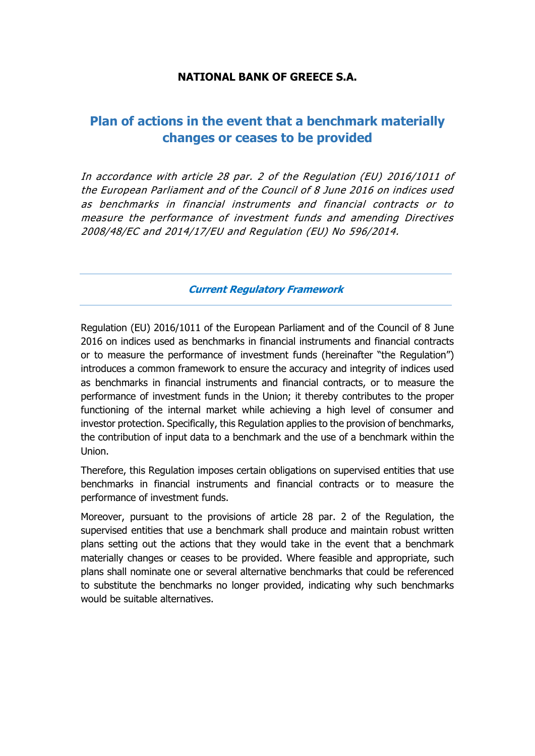### **NATIONAL BANK OF GREECE S.A.**

# **Plan of actions in the event that a benchmark materially changes or ceases to be provided**

In accordance with article 28 par. 2 of the Regulation (EU) 2016/1011 of the European Parliament and of the Council of 8 June 2016 on indices used as benchmarks in financial instruments and financial contracts or to measure the performance of investment funds and amending Directives 2008/48/EC and 2014/17/EU and Regulation (EU) No 596/2014.

**Current Regulatory Framework**

Regulation (EU) 2016/1011 of the European Parliament and of the Council of 8 June 2016 on indices used as benchmarks in financial instruments and financial contracts or to measure the performance of investment funds (hereinafter "the Regulation") introduces a common framework to ensure the accuracy and integrity of indices used as benchmarks in financial instruments and financial contracts, or to measure the performance of investment funds in the Union; it thereby contributes to the proper functioning of the internal market while achieving a high level of consumer and investor protection. Specifically, this Regulation applies to the provision of benchmarks, the contribution of input data to a benchmark and the use of a benchmark within the Union.

Therefore, this Regulation imposes certain obligations on supervised entities that use benchmarks in financial instruments and financial contracts or to measure the performance of investment funds.

Moreover, pursuant to the provisions of article 28 par. 2 of the Regulation, the supervised entities that use a benchmark shall produce and maintain robust written plans setting out the actions that they would take in the event that a benchmark materially changes or ceases to be provided. Where feasible and appropriate, such plans shall nominate one or several alternative benchmarks that could be referenced to substitute the benchmarks no longer provided, indicating why such benchmarks would be suitable alternatives.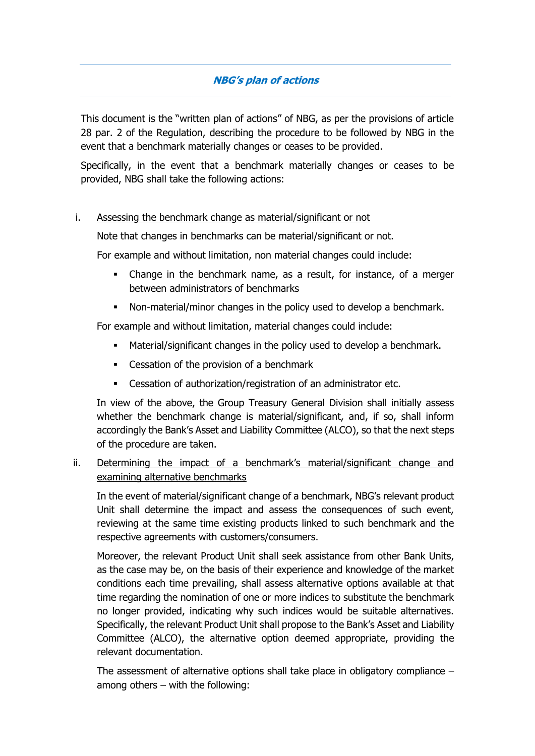## **NBG's plan of actions**

This document is the "written plan of actions" of NBG, as per the provisions of article 28 par. 2 of the Regulation, describing the procedure to be followed by NBG in the event that a benchmark materially changes or ceases to be provided.

Specifically, in the event that a benchmark materially changes or ceases to be provided, NBG shall take the following actions:

#### i. Assessing the benchmark change as material/significant or not

Note that changes in benchmarks can be material/significant or not.

For example and without limitation, non material changes could include:

- Change in the benchmark name, as a result, for instance, of a merger between administrators of benchmarks
- Non-material/minor changes in the policy used to develop a benchmark.

For example and without limitation, material changes could include:

- Material/significant changes in the policy used to develop a benchmark.
- Cessation of the provision of a benchmark
- Cessation of authorization/registration of an administrator etc.

In view of the above, the Group Treasury General Division shall initially assess whether the benchmark change is material/significant, and, if so, shall inform accordingly the Bank's Asset and Liability Committee (ALCO), so that the next steps of the procedure are taken.

#### ii. Determining the impact of a benchmark's material/significant change and examining alternative benchmarks

In the event of material/significant change of a benchmark, NBG's relevant product Unit shall determine the impact and assess the consequences of such event, reviewing at the same time existing products linked to such benchmark and the respective agreements with customers/consumers.

Moreover, the relevant Product Unit shall seek assistance from other Bank Units, as the case may be, on the basis of their experience and knowledge of the market conditions each time prevailing, shall assess alternative options available at that time regarding the nomination of one or more indices to substitute the benchmark no longer provided, indicating why such indices would be suitable alternatives. Specifically, the relevant Product Unit shall propose to the Bank's Asset and Liability Committee (ALCO), the alternative option deemed appropriate, providing the relevant documentation.

The assessment of alternative options shall take place in obligatory compliance – among others – with the following: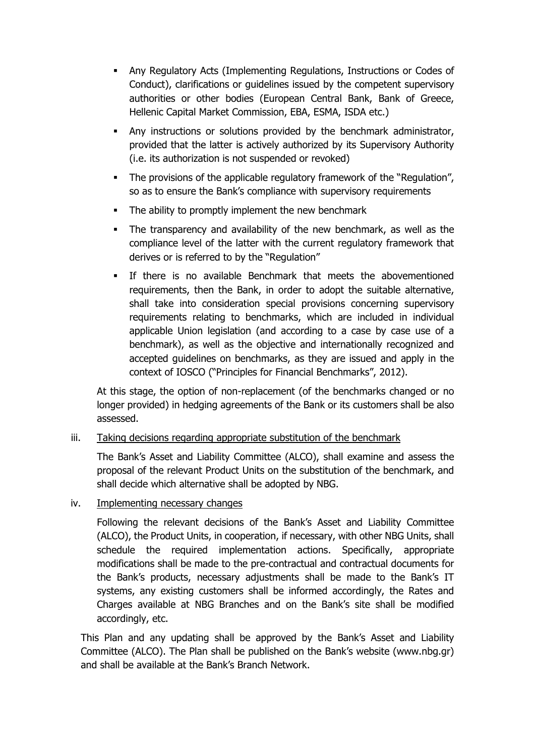- Any Regulatory Acts (Implementing Regulations, Instructions or Codes of Conduct), clarifications or guidelines issued by the competent supervisory authorities or other bodies (European Central Bank, Bank of Greece, Hellenic Capital Market Commission, ΕΒΑ, ESMA, ISDA etc.)
- Any instructions or solutions provided by the benchmark administrator, provided that the latter is actively authorized by its Supervisory Authority (i.e. its authorization is not suspended or revoked)
- The provisions of the applicable regulatory framework of the "Regulation", so as to ensure the Bank's compliance with supervisory requirements
- The ability to promptly implement the new benchmark
- The transparency and availability of the new benchmark, as well as the compliance level of the latter with the current regulatory framework that derives or is referred to by the "Regulation"
- If there is no available Benchmark that meets the abovementioned requirements, then the Bank, in order to adopt the suitable alternative, shall take into consideration special provisions concerning supervisory requirements relating to benchmarks, which are included in individual applicable Union legislation (and according to a case by case use of a benchmark), as well as the objective and internationally recognized and accepted guidelines on benchmarks, as they are issued and apply in the context of IOSCO ("Principles for Financial Benchmarks", 2012).

At this stage, the option of non-replacement (of the benchmarks changed or no longer provided) in hedging agreements of the Bank or its customers shall be also assessed.

#### iii. Taking decisions regarding appropriate substitution of the benchmark

The Bank's Asset and Liability Committee (ALCO), shall examine and assess the proposal of the relevant Product Units on the substitution of the benchmark, and shall decide which alternative shall be adopted by NBG.

#### iv. Implementing necessary changes

Following the relevant decisions of the Bank's Asset and Liability Committee (ALCO), the Product Units, in cooperation, if necessary, with other NBG Units, shall schedule the required implementation actions. Specifically, appropriate modifications shall be made to the pre-contractual and contractual documents for the Bank's products, necessary adjustments shall be made to the Bank's IT systems, any existing customers shall be informed accordingly, the Rates and Charges available at NBG Branches and on the Bank's site shall be modified accordingly, etc.

This Plan and any updating shall be approved by the Bank's Asset and Liability Committee (ALCO). The Plan shall be published on the Bank's website (www.nbg.gr) and shall be available at the Bank's Branch Network.